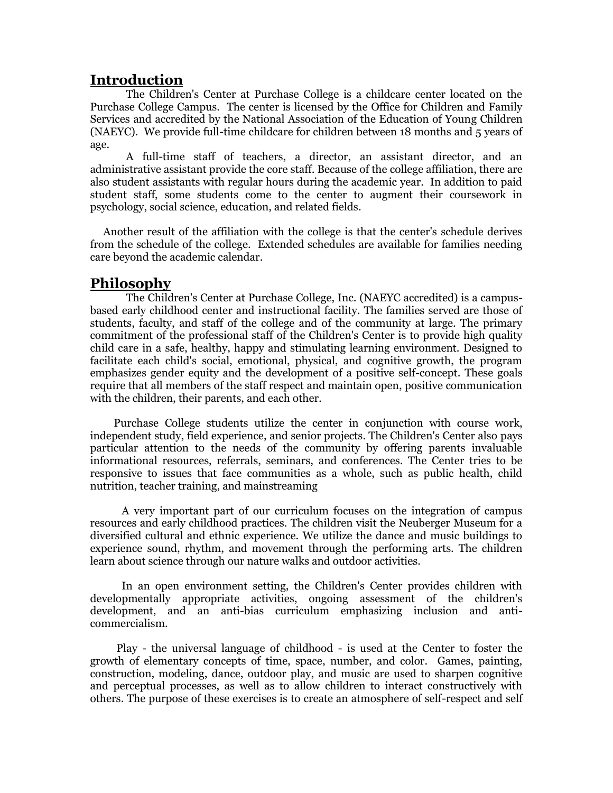### **Introduction**

The Children's Center at Purchase College is a childcare center located on the Purchase College Campus. The center is licensed by the Office for Children and Family Services and accredited by the National Association of the Education of Young Children (NAEYC). We provide full-time childcare for children between 18 months and 5 years of age.

A full-time staff of teachers, a director, an assistant director, and an administrative assistant provide the core staff. Because of the college affiliation, there are also student assistants with regular hours during the academic year. In addition to paid student staff, some students come to the center to augment their coursework in psychology, social science, education, and related fields.

 Another result of the affiliation with the college is that the center's schedule derives from the schedule of the college. Extended schedules are available for families needing care beyond the academic calendar.

### **Philosophy**

The Children's Center at Purchase College, Inc. (NAEYC accredited) is a campusbased early childhood center and instructional facility. The families served are those of students, faculty, and staff of the college and of the community at large. The primary commitment of the professional staff of the Children's Center is to provide high quality child care in a safe, healthy, happy and stimulating learning environment. Designed to facilitate each child's social, emotional, physical, and cognitive growth, the program emphasizes gender equity and the development of a positive self-concept. These goals require that all members of the staff respect and maintain open, positive communication with the children, their parents, and each other.

 Purchase College students utilize the center in conjunction with course work, independent study, field experience, and senior projects. The Children's Center also pays particular attention to the needs of the community by offering parents invaluable informational resources, referrals, seminars, and conferences. The Center tries to be responsive to issues that face communities as a whole, such as public health, child nutrition, teacher training, and mainstreaming

 A very important part of our curriculum focuses on the integration of campus resources and early childhood practices. The children visit the Neuberger Museum for a diversified cultural and ethnic experience. We utilize the dance and music buildings to experience sound, rhythm, and movement through the performing arts. The children learn about science through our nature walks and outdoor activities.

 In an open environment setting, the Children's Center provides children with developmentally appropriate activities, ongoing assessment of the children's development, and an anti-bias curriculum emphasizing inclusion and anticommercialism.

 Play - the universal language of childhood - is used at the Center to foster the growth of elementary concepts of time, space, number, and color. Games, painting, construction, modeling, dance, outdoor play, and music are used to sharpen cognitive and perceptual processes, as well as to allow children to interact constructively with others. The purpose of these exercises is to create an atmosphere of self-respect and self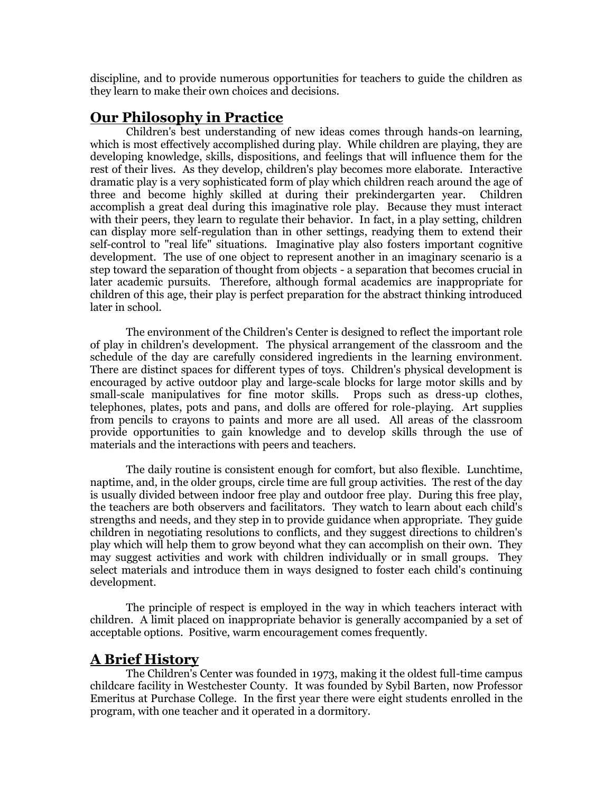discipline, and to provide numerous opportunities for teachers to guide the children as they learn to make their own choices and decisions.

### **Our Philosophy in Practice**

Children's best understanding of new ideas comes through hands-on learning, which is most effectively accomplished during play. While children are playing, they are developing knowledge, skills, dispositions, and feelings that will influence them for the rest of their lives. As they develop, children's play becomes more elaborate. Interactive dramatic play is a very sophisticated form of play which children reach around the age of three and become highly skilled at during their prekindergarten year. Children accomplish a great deal during this imaginative role play. Because they must interact with their peers, they learn to regulate their behavior. In fact, in a play setting, children can display more self-regulation than in other settings, readying them to extend their self-control to "real life" situations. Imaginative play also fosters important cognitive development. The use of one object to represent another in an imaginary scenario is a step toward the separation of thought from objects - a separation that becomes crucial in later academic pursuits. Therefore, although formal academics are inappropriate for children of this age, their play is perfect preparation for the abstract thinking introduced later in school.

The environment of the Children's Center is designed to reflect the important role of play in children's development. The physical arrangement of the classroom and the schedule of the day are carefully considered ingredients in the learning environment. There are distinct spaces for different types of toys. Children's physical development is encouraged by active outdoor play and large-scale blocks for large motor skills and by small-scale manipulatives for fine motor skills. Props such as dress-up clothes, telephones, plates, pots and pans, and dolls are offered for role-playing. Art supplies from pencils to crayons to paints and more are all used. All areas of the classroom provide opportunities to gain knowledge and to develop skills through the use of materials and the interactions with peers and teachers.

The daily routine is consistent enough for comfort, but also flexible. Lunchtime, naptime, and, in the older groups, circle time are full group activities. The rest of the day is usually divided between indoor free play and outdoor free play. During this free play, the teachers are both observers and facilitators. They watch to learn about each child's strengths and needs, and they step in to provide guidance when appropriate. They guide children in negotiating resolutions to conflicts, and they suggest directions to children's play which will help them to grow beyond what they can accomplish on their own. They may suggest activities and work with children individually or in small groups. They select materials and introduce them in ways designed to foster each child's continuing development.

The principle of respect is employed in the way in which teachers interact with children. A limit placed on inappropriate behavior is generally accompanied by a set of acceptable options. Positive, warm encouragement comes frequently.

# **A Brief History**

The Children's Center was founded in 1973, making it the oldest full-time campus childcare facility in Westchester County. It was founded by Sybil Barten, now Professor Emeritus at Purchase College. In the first year there were eight students enrolled in the program, with one teacher and it operated in a dormitory.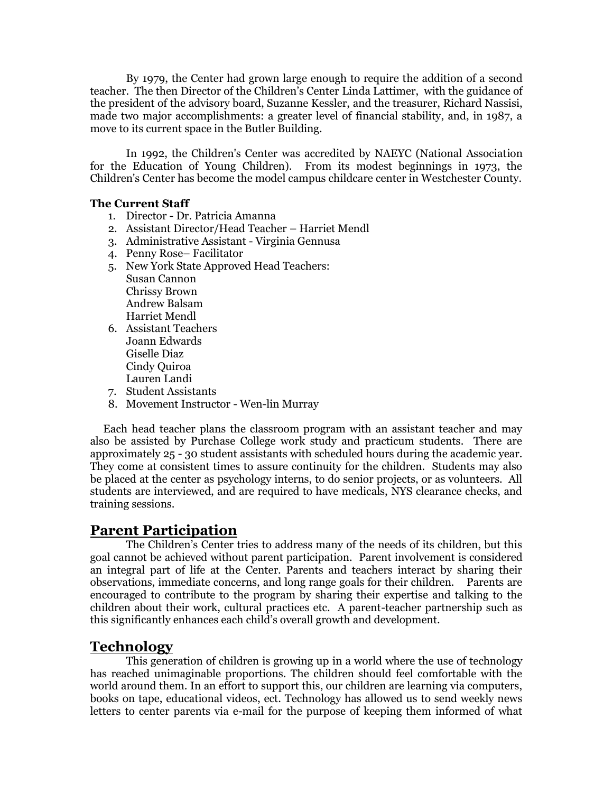By 1979, the Center had grown large enough to require the addition of a second teacher. The then Director of the Children's Center Linda Lattimer, with the guidance of the president of the advisory board, Suzanne Kessler, and the treasurer, Richard Nassisi, made two major accomplishments: a greater level of financial stability, and, in 1987, a move to its current space in the Butler Building.

In 1992, the Children's Center was accredited by NAEYC (National Association for the Education of Young Children). From its modest beginnings in 1973, the Children's Center has become the model campus childcare center in Westchester County.

#### **The Current Staff**

- 1. Director Dr. Patricia Amanna
- 2. Assistant Director/Head Teacher Harriet Mendl
- 3. Administrative Assistant Virginia Gennusa
- 4. Penny Rose– Facilitator
- 5. New York State Approved Head Teachers: Susan Cannon Chrissy Brown Andrew Balsam Harriet Mendl
- 6. Assistant Teachers Joann Edwards Giselle Diaz Cindy Quiroa Lauren Landi
- 7. Student Assistants
- 8. Movement Instructor Wen-lin Murray

 Each head teacher plans the classroom program with an assistant teacher and may also be assisted by Purchase College work study and practicum students. There are approximately 25 - 30 student assistants with scheduled hours during the academic year. They come at consistent times to assure continuity for the children. Students may also be placed at the center as psychology interns, to do senior projects, or as volunteers. All students are interviewed, and are required to have medicals, NYS clearance checks, and training sessions.

### **Parent Participation**

The Children's Center tries to address many of the needs of its children, but this goal cannot be achieved without parent participation. Parent involvement is considered an integral part of life at the Center. Parents and teachers interact by sharing their observations, immediate concerns, and long range goals for their children. Parents are encouraged to contribute to the program by sharing their expertise and talking to the children about their work, cultural practices etc. A parent-teacher partnership such as this significantly enhances each child's overall growth and development.

# **Technology**

This generation of children is growing up in a world where the use of technology has reached unimaginable proportions. The children should feel comfortable with the world around them. In an effort to support this, our children are learning via computers, books on tape, educational videos, ect. Technology has allowed us to send weekly news letters to center parents via e-mail for the purpose of keeping them informed of what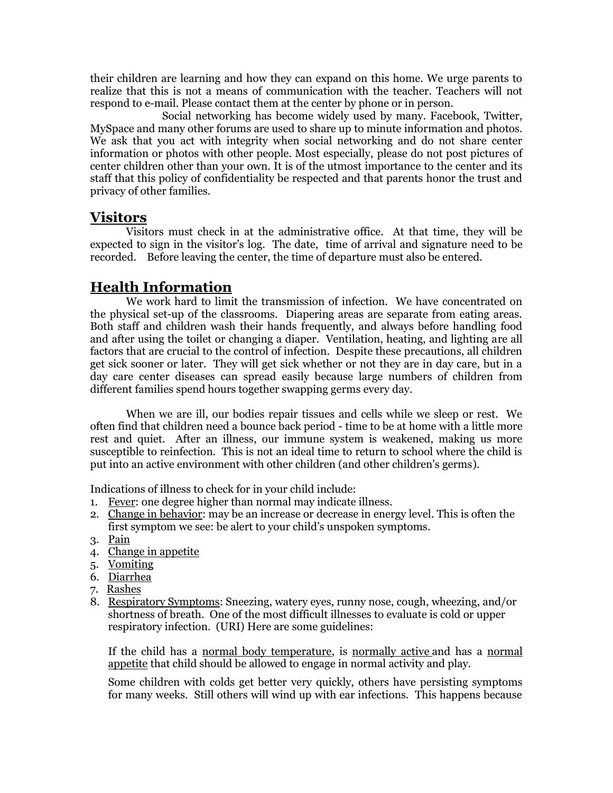their children are learning and how they can expand on this home. We urge parents to realize that this is not a means of communication with the teacher. Teachers will not respond to e-mail. Please contact them at the center by phone or in person.

Social networking has become widely used by many. Facebook, Twitter, MySpace and many other forums are used to share up to minute information and photos. We ask that you act with integrity when social networking and do not share center information or photos with other people. Most especially, please do not post pictures of center children other than your own. It is of the utmost importance to the center and its staff that this policy of confidentiality be respected and that parents honor the trust and privacy of other families.

# **Visitors**

Visitors must check in at the administrative office. At that time, they will be expected to sign in the visitor's log. The date, time of arrival and signature need to be recorded. Before leaving the center, the time of departure must also be entered.

# **Health Information**

We work hard to limit the transmission of infection. We have concentrated on the physical set-up of the classrooms. Diapering areas are separate from eating areas. Both staff and children wash their hands frequently, and always before handling food and after using the toilet or changing a diaper. Ventilation, heating, and lighting are all factors that are crucial to the control of infection. Despite these precautions, all children get sick sooner or later. They will get sick whether or not they are in day care, but in a day care center diseases can spread easily because large numbers of children from different families spend hours together swapping germs every day.

When we are ill, our bodies repair tissues and cells while we sleep or rest. We often find that children need a bounce back period - time to be at home with a little more rest and quiet. After an illness, our immune system is weakened, making us more susceptible to reinfection. This is not an ideal time to return to school where the child is put into an active environment with other children (and other children's germs).

Indications of illness to check for in your child include:

- 1. Fever: one degree higher than normal may indicate illness.
- 2. Change in behavior: may be an increase or decrease in energy level. This is often the first symptom we see: be alert to your child's unspoken symptoms.
- 3. Pain
- 4. Change in appetite
- 5. Vomiting
- 6. Diarrhea
- 7. Rashes
- 8. Respiratory Symptoms: Sneezing, watery eyes, runny nose, cough, wheezing, and/or shortness of breath. One of the most difficult illnesses to evaluate is cold or upper respiratory infection. (URI) Here are some guidelines:

If the child has a normal body temperature, is normally active and has a normal appetite that child should be allowed to engage in normal activity and play.

Some children with colds get better very quickly, others have persisting symptoms for many weeks. Still others will wind up with ear infections. This happens because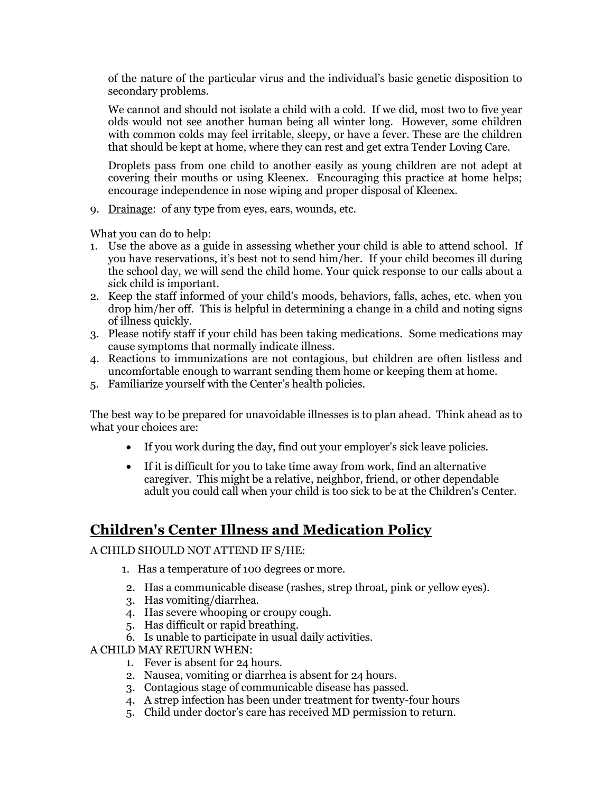of the nature of the particular virus and the individual's basic genetic disposition to secondary problems.

We cannot and should not isolate a child with a cold. If we did, most two to five year olds would not see another human being all winter long. However, some children with common colds may feel irritable, sleepy, or have a fever. These are the children that should be kept at home, where they can rest and get extra Tender Loving Care.

Droplets pass from one child to another easily as young children are not adept at covering their mouths or using Kleenex. Encouraging this practice at home helps; encourage independence in nose wiping and proper disposal of Kleenex.

9. Drainage: of any type from eyes, ears, wounds, etc.

What you can do to help:

- 1. Use the above as a guide in assessing whether your child is able to attend school. If you have reservations, it's best not to send him/her. If your child becomes ill during the school day, we will send the child home. Your quick response to our calls about a sick child is important.
- 2. Keep the staff informed of your child's moods, behaviors, falls, aches, etc. when you drop him/her off. This is helpful in determining a change in a child and noting signs of illness quickly.
- 3. Please notify staff if your child has been taking medications. Some medications may cause symptoms that normally indicate illness.
- 4. Reactions to immunizations are not contagious, but children are often listless and uncomfortable enough to warrant sending them home or keeping them at home.
- 5. Familiarize yourself with the Center's health policies.

The best way to be prepared for unavoidable illnesses is to plan ahead. Think ahead as to what your choices are:

- If you work during the day, find out your employer's sick leave policies.
- If it is difficult for you to take time away from work, find an alternative caregiver. This might be a relative, neighbor, friend, or other dependable adult you could call when your child is too sick to be at the Children's Center.

# **Children's Center Illness and Medication Policy**

A CHILD SHOULD NOT ATTEND IF S/HE:

- 1. Has a temperature of 100 degrees or more.
- 2. Has a communicable disease (rashes, strep throat, pink or yellow eyes).
- 3. Has vomiting/diarrhea.
- 4. Has severe whooping or croupy cough.
- 5. Has difficult or rapid breathing.
- 6. Is unable to participate in usual daily activities.

A CHILD MAY RETURN WHEN:

- 1. Fever is absent for 24 hours.
- 2. Nausea, vomiting or diarrhea is absent for 24 hours.
- 3. Contagious stage of communicable disease has passed.
- 4. A strep infection has been under treatment for twenty-four hours
- 5. Child under doctor's care has received MD permission to return.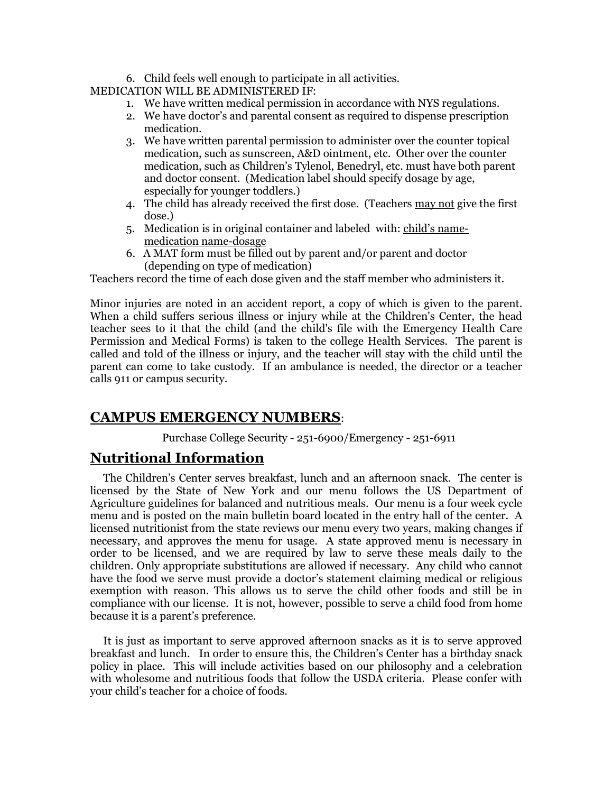6. Child feels well enough to participate in all activities.

MEDICATION WILL BE ADMINISTERED IF:

- 1. We have written medical permission in accordance with NYS regulations.
- 2. We have doctor's and parental consent as required to dispense prescription medication.
- 3. We have written parental permission to administer over the counter topical medication, such as sunscreen, A&D ointment, etc. Other over the counter medication, such as Children's Tylenol, Benedryl, etc. must have both parent and doctor consent. (Medication label should specify dosage by age, especially for younger toddlers.)
- 4. The child has already received the first dose. (Teachers may not give the first dose.)
- 5. Medication is in original container and labeled with: child's namemedication name-dosage
- 6. A MAT form must be filled out by parent and/or parent and doctor (depending on type of medication)

Teachers record the time of each dose given and the staff member who administers it.

Minor injuries are noted in an accident report, a copy of which is given to the parent. When a child suffers serious illness or injury while at the Children's Center, the head teacher sees to it that the child (and the child's file with the Emergency Health Care Permission and Medical Forms) is taken to the college Health Services. The parent is called and told of the illness or injury, and the teacher will stay with the child until the parent can come to take custody. If an ambulance is needed, the director or a teacher calls 911 or campus security.

# **CAMPUS EMERGENCY NUMBERS**:

Purchase College Security - 251-6900/Emergency - 251-6911

### **Nutritional Information**

 The Children's Center serves breakfast, lunch and an afternoon snack. The center is licensed by the State of New York and our menu follows the US Department of Agriculture guidelines for balanced and nutritious meals. Our menu is a four week cycle menu and is posted on the main bulletin board located in the entry hall of the center. A licensed nutritionist from the state reviews our menu every two years, making changes if necessary, and approves the menu for usage. A state approved menu is necessary in order to be licensed, and we are required by law to serve these meals daily to the children. Only appropriate substitutions are allowed if necessary. Any child who cannot have the food we serve must provide a doctor's statement claiming medical or religious exemption with reason. This allows us to serve the child other foods and still be in compliance with our license. It is not, however, possible to serve a child food from home because it is a parent's preference.

 It is just as important to serve approved afternoon snacks as it is to serve approved breakfast and lunch. In order to ensure this, the Children's Center has a birthday snack policy in place. This will include activities based on our philosophy and a celebration with wholesome and nutritious foods that follow the USDA criteria. Please confer with your child's teacher for a choice of foods.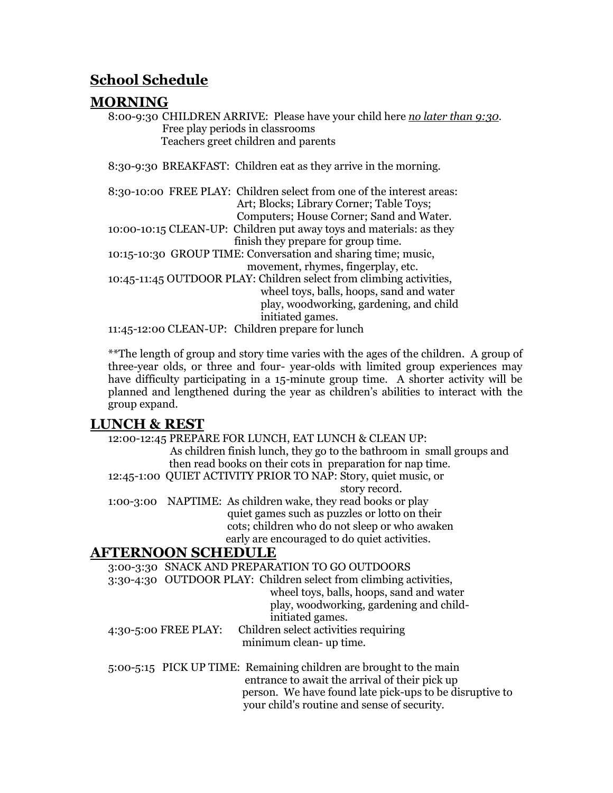# **School Schedule**

### **MORNING**

8:00-9:30 CHILDREN ARRIVE: Please have your child here *no later than 9:30*. Free play periods in classrooms Teachers greet children and parents

8:30-9:30 BREAKFAST: Children eat as they arrive in the morning.

8:30-10:00 FREE PLAY: Children select from one of the interest areas: Art; Blocks; Library Corner; Table Toys; Computers; House Corner; Sand and Water. 10:00-10:15 CLEAN-UP: Children put away toys and materials: as they finish they prepare for group time. 10:15-10:30 GROUP TIME: Conversation and sharing time; music, movement, rhymes, fingerplay, etc. 10:45-11:45 OUTDOOR PLAY: Children select from climbing activities, wheel toys, balls, hoops, sand and water play, woodworking, gardening, and child initiated games. 11:45-12:00 CLEAN-UP: Children prepare for lunch

\*\*The length of group and story time varies with the ages of the children. A group of three-year olds, or three and four- year-olds with limited group experiences may have difficulty participating in a 15-minute group time. A shorter activity will be planned and lengthened during the year as children's abilities to interact with the group expand.

# **LUNCH & REST**

12:00-12:45 PREPARE FOR LUNCH, EAT LUNCH & CLEAN UP: As children finish lunch, they go to the bathroom in small groups and then read books on their cots in preparation for nap time. 12:45-1:00 QUIET ACTIVITY PRIOR TO NAP: Story, quiet music, or story record. 1:00-3:00 NAPTIME: As children wake, they read books or play quiet games such as puzzles or lotto on their cots; children who do not sleep or who awaken early are encouraged to do quiet activities. **AFTERNOON SCHEDULE** 3:00-3:30 SNACK AND PREPARATION TO GO OUTDOORS 3:30-4:30 OUTDOOR PLAY: Children select from climbing activities, wheel toys, balls, hoops, sand and water play, woodworking, gardening and childinitiated games. 4:30-5:00 FREE PLAY: Children select activities requiring minimum clean- up time.

5:00-5:15 PICK UP TIME: Remaining children are brought to the main entrance to await the arrival of their pick up person. We have found late pick-ups to be disruptive to your child's routine and sense of security.